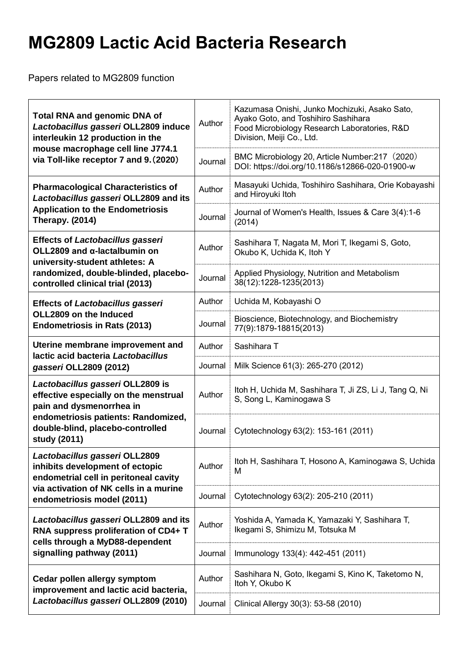## **MG2809 Lactic Acid Bacteria Research**

Papers related to MG2809 function

| <b>Total RNA and genomic DNA of</b><br>Lactobacillus gasseri OLL2809 induce<br>interleukin 12 production in the<br>mouse macrophage cell line J774.1<br>via Toll-like receptor 7 and 9. (2020)   | Author  | Kazumasa Onishi, Junko Mochizuki, Asako Sato,<br>Ayako Goto, and Toshihiro Sashihara<br>Food Microbiology Research Laboratories, R&D<br>Division, Meiji Co., Ltd. |
|--------------------------------------------------------------------------------------------------------------------------------------------------------------------------------------------------|---------|-------------------------------------------------------------------------------------------------------------------------------------------------------------------|
|                                                                                                                                                                                                  | Journal | BMC Microbiology 20, Article Number: 217 (2020)<br>DOI: https://doi.org/10.1186/s12866-020-01900-w                                                                |
| <b>Pharmacological Characteristics of</b><br>Lactobacillus gasseri OLL2809 and its<br><b>Application to the Endometriosis</b><br><b>Therapy. (2014)</b>                                          | Author  | Masayuki Uchida, Toshihiro Sashihara, Orie Kobayashi<br>and Hiroyuki Itoh                                                                                         |
|                                                                                                                                                                                                  | Journal | Journal of Women's Health, Issues & Care 3(4):1-6<br>(2014)                                                                                                       |
| <b>Effects of Lactobacillus gasseri</b><br>OLL2809 and $\alpha$ -lactalbumin on<br>university-student athletes: A<br>randomized, double-blinded, placebo-<br>controlled clinical trial (2013)    | Author  | Sashihara T, Nagata M, Mori T, Ikegami S, Goto,<br>Okubo K, Uchida K, Itoh Y                                                                                      |
|                                                                                                                                                                                                  | Journal | Applied Physiology, Nutrition and Metabolism<br>38(12):1228-1235(2013)                                                                                            |
| <b>Effects of Lactobacillus gasseri</b><br>OLL2809 on the Induced<br><b>Endometriosis in Rats (2013)</b>                                                                                         | Author  | Uchida M, Kobayashi O                                                                                                                                             |
|                                                                                                                                                                                                  | Journal | Bioscience, Biotechnology, and Biochemistry<br>77(9):1879-18815(2013)                                                                                             |
| Uterine membrane improvement and<br>lactic acid bacteria Lactobacillus<br>gasseri OLL2809 (2012)                                                                                                 | Author  | Sashihara T                                                                                                                                                       |
|                                                                                                                                                                                                  | Journal | Milk Science 61(3): 265-270 (2012)                                                                                                                                |
| Lactobacillus gasseri OLL2809 is<br>effective especially on the menstrual<br>pain and dysmenorrhea in<br>endometriosis patients: Randomized,<br>double-blind, placebo-controlled<br>study (2011) | Author  | Itoh H, Uchida M, Sashihara T, Ji ZS, Li J, Tang Q, Ni<br>S, Song L, Kaminogawa S                                                                                 |
|                                                                                                                                                                                                  | Journal | Cytotechnology 63(2): 153-161 (2011)                                                                                                                              |
| Lactobacillus gasseri OLL2809<br>inhibits development of ectopic<br>endometrial cell in peritoneal cavity                                                                                        | Author  | Itoh H, Sashihara T, Hosono A, Kaminogawa S, Uchida<br>м                                                                                                          |
| via activation of NK cells in a murine<br>endometriosis model (2011)                                                                                                                             | Journal | Cytotechnology 63(2): 205-210 (2011)                                                                                                                              |
| Lactobacillus gasseri OLL2809 and its<br>RNA suppress proliferation of CD4+ T<br>cells through a MyD88-dependent<br>signalling pathway (2011)                                                    | Author  | Yoshida A, Yamada K, Yamazaki Y, Sashihara T,<br>Ikegami S, Shimizu M, Totsuka M                                                                                  |
|                                                                                                                                                                                                  | Journal | Immunology 133(4): 442-451 (2011)                                                                                                                                 |
| Cedar pollen allergy symptom<br>improvement and lactic acid bacteria,<br>Lactobacillus gasseri OLL2809 (2010)                                                                                    | Author  | Sashihara N, Goto, Ikegami S, Kino K, Taketomo N,<br>Itoh Y, Okubo K                                                                                              |
|                                                                                                                                                                                                  | Journal | Clinical Allergy 30(3): 53-58 (2010)                                                                                                                              |